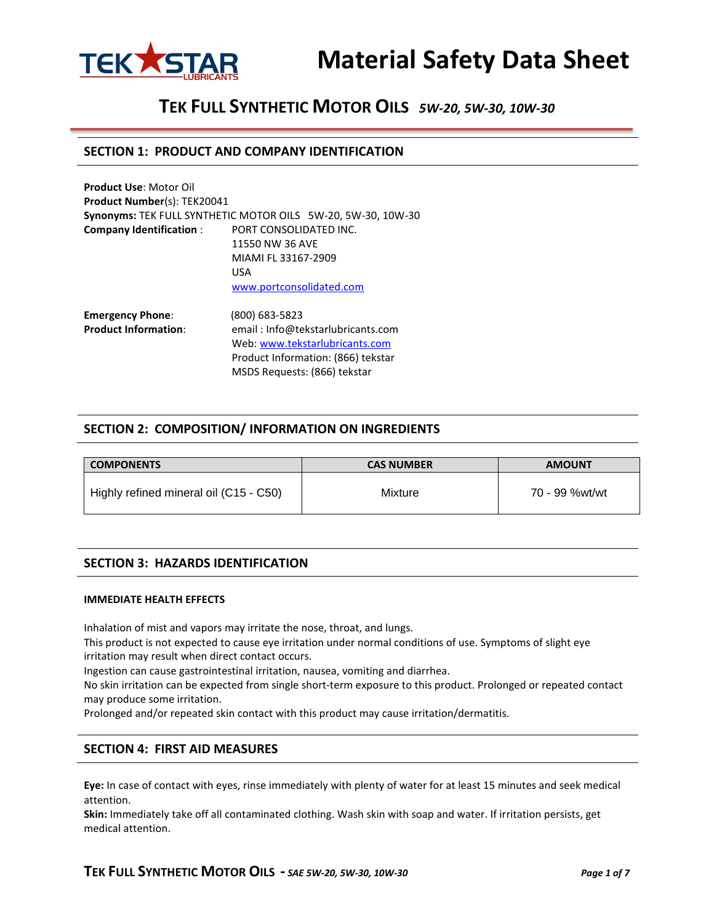

# **TEK FULL SYNTHETIC MOTOR OILS** *5W-20, 5W-30, 10W-30*

#### **SECTION 1: PRODUCT AND COMPANY IDENTIFICATION**

| <b>Product Use: Motor Oil</b>      |                                                              |  |
|------------------------------------|--------------------------------------------------------------|--|
| <b>Product Number(s): TEK20041</b> |                                                              |  |
|                                    | Synonyms: TEK FULL SYNTHETIC MOTOR OILS 5W-20, 5W-30, 10W-30 |  |
| <b>Company Identification:</b>     | PORT CONSOLIDATED INC.                                       |  |
|                                    | 11550 NW 36 AVE                                              |  |
|                                    | MIAMI FL 33167-2909                                          |  |
|                                    | USA                                                          |  |
|                                    | www.portconsolidated.com                                     |  |
| <b>Emergency Phone:</b>            | (800) 683-5823                                               |  |
| <b>Product Information:</b>        | email: Info@tekstarlubricants.com                            |  |
|                                    | Web: www.tekstarlubricants.com                               |  |
|                                    | Product Information: (866) tekstar                           |  |

#### **SECTION 2: COMPOSITION/ INFORMATION ON INGREDIENTS**

MSDS Requests: (866) tekstar

| <b>COMPONENTS</b>                      | <b>CAS NUMBER</b> | <b>AMOUNT</b>  |
|----------------------------------------|-------------------|----------------|
| Highly refined mineral oil (C15 - C50) | Mixture           | 70 - 99 %wt/wt |

#### **SECTION 3: HAZARDS IDENTIFICATION**

#### **IMMEDIATE HEALTH EFFECTS**

Inhalation of mist and vapors may irritate the nose, throat, and lungs.

This product is not expected to cause eye irritation under normal conditions of use. Symptoms of slight eye irritation may result when direct contact occurs.

Ingestion can cause gastrointestinal irritation, nausea, vomiting and diarrhea.

No skin irritation can be expected from single short-term exposure to this product. Prolonged or repeated contact may produce some irritation.

Prolonged and/or repeated skin contact with this product may cause irritation/dermatitis.

#### **SECTION 4: FIRST AID MEASURES**

**Eye:** In case of contact with eyes, rinse immediately with plenty of water for at least 15 minutes and seek medical attention.

**Skin:** Immediately take off all contaminated clothing. Wash skin with soap and water. If irritation persists, get medical attention.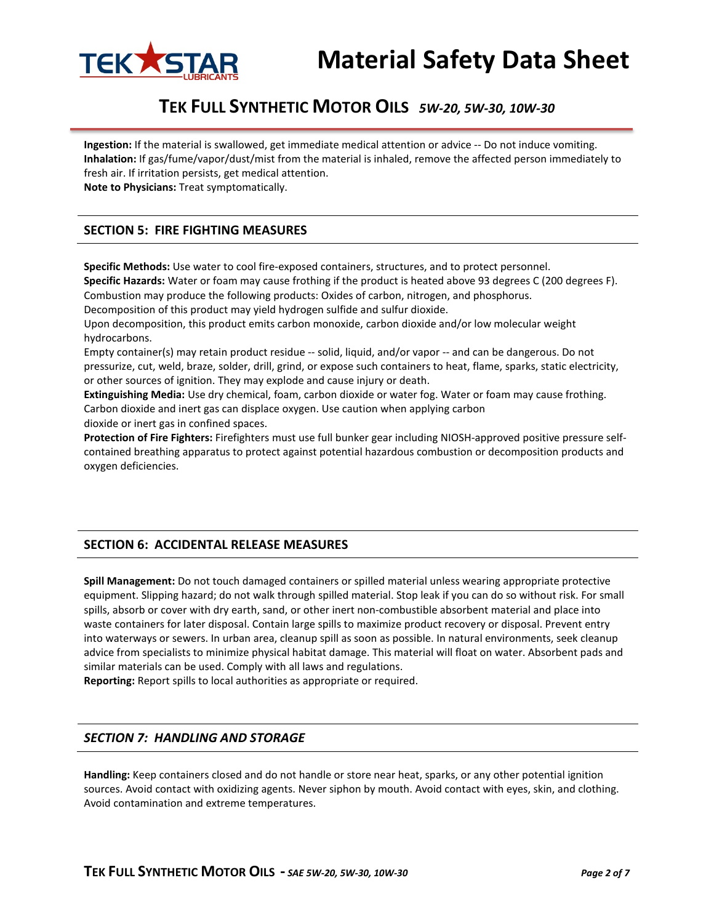

# **TEK FULL SYNTHETIC MOTOR OILS** *5W-20, 5W-30, 10W-30*

**Ingestion:** If the material is swallowed, get immediate medical attention or advice -- Do not induce vomiting. **Inhalation:** If gas/fume/vapor/dust/mist from the material is inhaled, remove the affected person immediately to fresh air. If irritation persists, get medical attention.

**Note to Physicians:** Treat symptomatically.

### **SECTION 5: FIRE FIGHTING MEASURES**

**Specific Methods:** Use water to cool fire-exposed containers, structures, and to protect personnel. **Specific Hazards:** Water or foam may cause frothing if the product is heated above 93 degrees C (200 degrees F). Combustion may produce the following products: Oxides of carbon, nitrogen, and phosphorus.

Decomposition of this product may yield hydrogen sulfide and sulfur dioxide.

Upon decomposition, this product emits carbon monoxide, carbon dioxide and/or low molecular weight hydrocarbons.

Empty container(s) may retain product residue -- solid, liquid, and/or vapor -- and can be dangerous. Do not pressurize, cut, weld, braze, solder, drill, grind, or expose such containers to heat, flame, sparks, static electricity, or other sources of ignition. They may explode and cause injury or death.

**Extinguishing Media:** Use dry chemical, foam, carbon dioxide or water fog. Water or foam may cause frothing. Carbon dioxide and inert gas can displace oxygen. Use caution when applying carbon

dioxide or inert gas in confined spaces.

**Protection of Fire Fighters:** Firefighters must use full bunker gear including NIOSH-approved positive pressure selfcontained breathing apparatus to protect against potential hazardous combustion or decomposition products and oxygen deficiencies.

### **SECTION 6: ACCIDENTAL RELEASE MEASURES**

**Spill Management:** Do not touch damaged containers or spilled material unless wearing appropriate protective equipment. Slipping hazard; do not walk through spilled material. Stop leak if you can do so without risk. For small spills, absorb or cover with dry earth, sand, or other inert non-combustible absorbent material and place into waste containers for later disposal. Contain large spills to maximize product recovery or disposal. Prevent entry into waterways or sewers. In urban area, cleanup spill as soon as possible. In natural environments, seek cleanup advice from specialists to minimize physical habitat damage. This material will float on water. Absorbent pads and similar materials can be used. Comply with all laws and regulations.

**Reporting:** Report spills to local authorities as appropriate or required.

#### *SECTION 7: HANDLING AND STORAGE*

**Handling:** Keep containers closed and do not handle or store near heat, sparks, or any other potential ignition sources. Avoid contact with oxidizing agents. Never siphon by mouth. Avoid contact with eyes, skin, and clothing. Avoid contamination and extreme temperatures.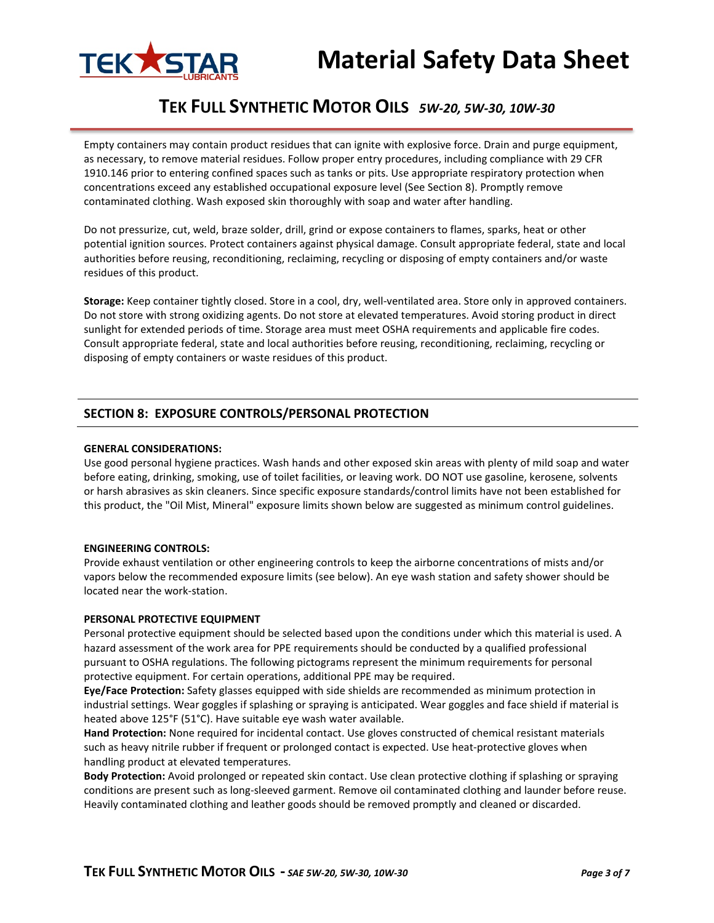

# **TEK FULL SYNTHETIC MOTOR OILS** *5W-20, 5W-30, 10W-30*

Empty containers may contain product residues that can ignite with explosive force. Drain and purge equipment, as necessary, to remove material residues. Follow proper entry procedures, including compliance with 29 CFR 1910.146 prior to entering confined spaces such as tanks or pits. Use appropriate respiratory protection when concentrations exceed any established occupational exposure level (See Section 8). Promptly remove contaminated clothing. Wash exposed skin thoroughly with soap and water after handling.

Do not pressurize, cut, weld, braze solder, drill, grind or expose containers to flames, sparks, heat or other potential ignition sources. Protect containers against physical damage. Consult appropriate federal, state and local authorities before reusing, reconditioning, reclaiming, recycling or disposing of empty containers and/or waste residues of this product.

**Storage:** Keep container tightly closed. Store in a cool, dry, well-ventilated area. Store only in approved containers. Do not store with strong oxidizing agents. Do not store at elevated temperatures. Avoid storing product in direct sunlight for extended periods of time. Storage area must meet OSHA requirements and applicable fire codes. Consult appropriate federal, state and local authorities before reusing, reconditioning, reclaiming, recycling or disposing of empty containers or waste residues of this product.

#### **SECTION 8: EXPOSURE CONTROLS/PERSONAL PROTECTION**

#### **GENERAL CONSIDERATIONS:**

Use good personal hygiene practices. Wash hands and other exposed skin areas with plenty of mild soap and water before eating, drinking, smoking, use of toilet facilities, or leaving work. DO NOT use gasoline, kerosene, solvents or harsh abrasives as skin cleaners. Since specific exposure standards/control limits have not been established for this product, the "Oil Mist, Mineral" exposure limits shown below are suggested as minimum control guidelines.

#### **ENGINEERING CONTROLS:**

Provide exhaust ventilation or other engineering controls to keep the airborne concentrations of mists and/or vapors below the recommended exposure limits (see below). An eye wash station and safety shower should be located near the work-station.

#### **PERSONAL PROTECTIVE EQUIPMENT**

Personal protective equipment should be selected based upon the conditions under which this material is used. A hazard assessment of the work area for PPE requirements should be conducted by a qualified professional pursuant to OSHA regulations. The following pictograms represent the minimum requirements for personal protective equipment. For certain operations, additional PPE may be required.

**Eye/Face Protection:** Safety glasses equipped with side shields are recommended as minimum protection in industrial settings. Wear goggles if splashing or spraying is anticipated. Wear goggles and face shield if material is heated above 125°F (51°C). Have suitable eye wash water available.

**Hand Protection:** None required for incidental contact. Use gloves constructed of chemical resistant materials such as heavy nitrile rubber if frequent or prolonged contact is expected. Use heat-protective gloves when handling product at elevated temperatures.

**Body Protection:** Avoid prolonged or repeated skin contact. Use clean protective clothing if splashing or spraying conditions are present such as long-sleeved garment. Remove oil contaminated clothing and launder before reuse. Heavily contaminated clothing and leather goods should be removed promptly and cleaned or discarded.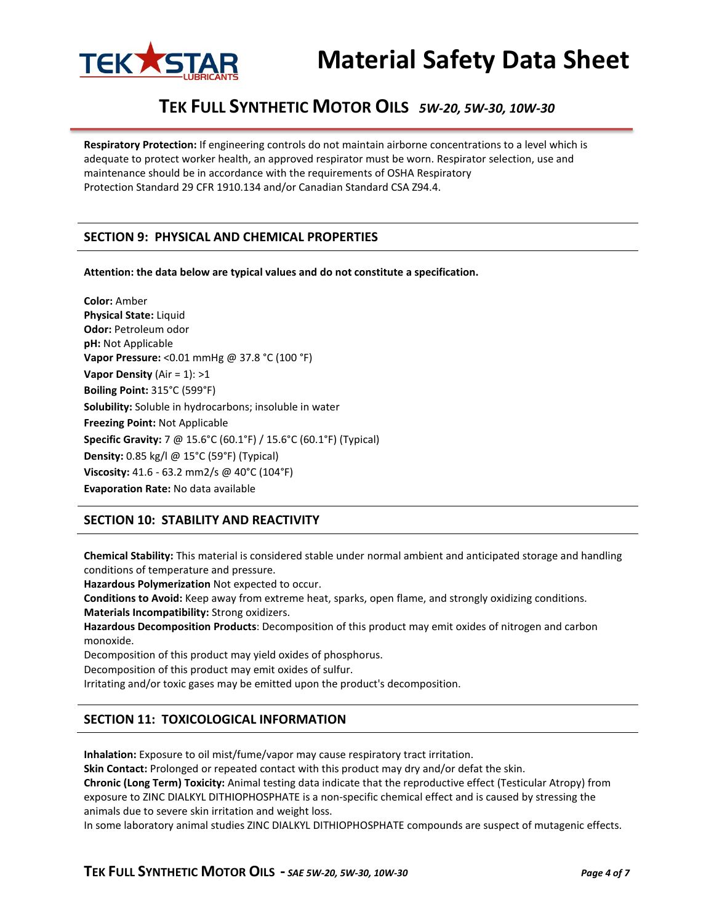

# **TEK FULL SYNTHETIC MOTOR OILS** *5W-20, 5W-30, 10W-30*

**Respiratory Protection:** If engineering controls do not maintain airborne concentrations to a level which is adequate to protect worker health, an approved respirator must be worn. Respirator selection, use and maintenance should be in accordance with the requirements of OSHA Respiratory Protection Standard 29 CFR 1910.134 and/or Canadian Standard CSA Z94.4.

#### **SECTION 9: PHYSICAL AND CHEMICAL PROPERTIES**

**Attention: the data below are typical values and do not constitute a specification.**

**Color:** Amber **Physical State:** Liquid **Odor:** Petroleum odor **pH:** Not Applicable **Vapor Pressure:** <0.01 mmHg @ 37.8 °C (100 °F) **Vapor Density** (Air = 1): >1 **Boiling Point:** 315°C (599°F) **Solubility:** Soluble in hydrocarbons; insoluble in water **Freezing Point:** Not Applicable **Specific Gravity:** 7 @ 15.6°C (60.1°F) / 15.6°C (60.1°F) (Typical) **Density:** 0.85 kg/l @ 15°C (59°F) (Typical) **Viscosity:** 41.6 - 63.2 mm2/s @ 40°C (104°F) **Evaporation Rate:** No data available

### **SECTION 10: STABILITY AND REACTIVITY**

**Chemical Stability:** This material is considered stable under normal ambient and anticipated storage and handling conditions of temperature and pressure.

**Hazardous Polymerization** Not expected to occur.

**Conditions to Avoid:** Keep away from extreme heat, sparks, open flame, and strongly oxidizing conditions. **Materials Incompatibility:** Strong oxidizers.

**Hazardous Decomposition Products**: Decomposition of this product may emit oxides of nitrogen and carbon monoxide.

Decomposition of this product may yield oxides of phosphorus.

Decomposition of this product may emit oxides of sulfur.

Irritating and/or toxic gases may be emitted upon the product's decomposition.

#### **SECTION 11: TOXICOLOGICAL INFORMATION**

**Inhalation:** Exposure to oil mist/fume/vapor may cause respiratory tract irritation.

**Skin Contact:** Prolonged or repeated contact with this product may dry and/or defat the skin.

**Chronic (Long Term) Toxicity:** Animal testing data indicate that the reproductive effect (Testicular Atropy) from exposure to ZINC DIALKYL DITHIOPHOSPHATE is a non-specific chemical effect and is caused by stressing the animals due to severe skin irritation and weight loss.

In some laboratory animal studies ZINC DIALKYL DITHIOPHOSPHATE compounds are suspect of mutagenic effects.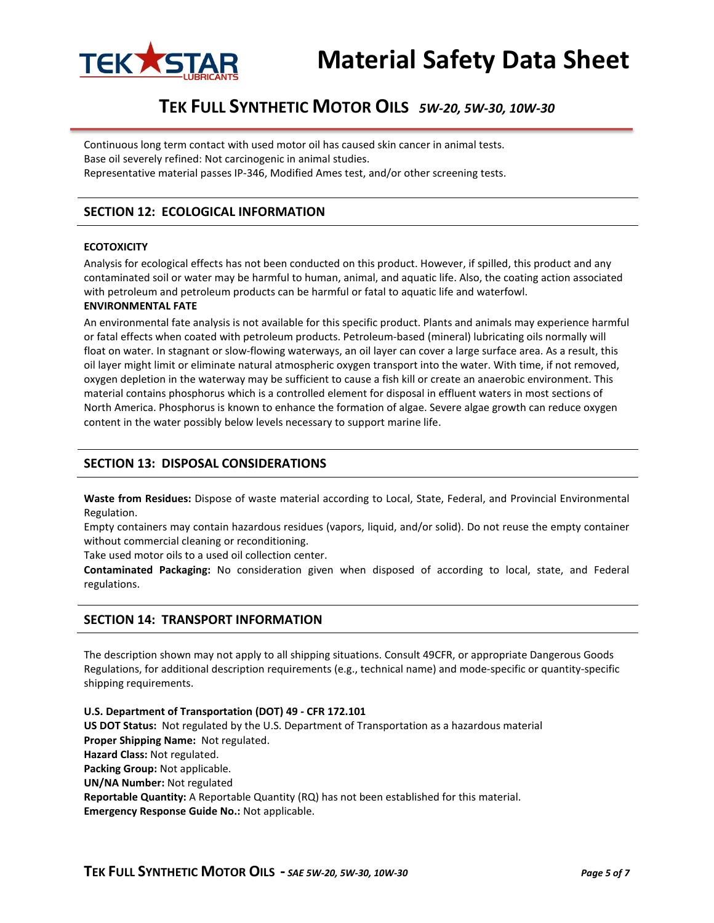

# **TEK FULL SYNTHETIC MOTOR OILS** *5W-20, 5W-30, 10W-30*

Continuous long term contact with used motor oil has caused skin cancer in animal tests. Base oil severely refined: Not carcinogenic in animal studies. Representative material passes IP-346, Modified Ames test, and/or other screening tests.

**SECTION 12: ECOLOGICAL INFORMATION**

# **ECOTOXICITY**

Analysis for ecological effects has not been conducted on this product. However, if spilled, this product and any contaminated soil or water may be harmful to human, animal, and aquatic life. Also, the coating action associated with petroleum and petroleum products can be harmful or fatal to aquatic life and waterfowl.

#### **ENVIRONMENTAL FATE**

An environmental fate analysis is not available for this specific product. Plants and animals may experience harmful or fatal effects when coated with petroleum products. Petroleum-based (mineral) lubricating oils normally will float on water. In stagnant or slow-flowing waterways, an oil layer can cover a large surface area. As a result, this oil layer might limit or eliminate natural atmospheric oxygen transport into the water. With time, if not removed, oxygen depletion in the waterway may be sufficient to cause a fish kill or create an anaerobic environment. This material contains phosphorus which is a controlled element for disposal in effluent waters in most sections of North America. Phosphorus is known to enhance the formation of algae. Severe algae growth can reduce oxygen content in the water possibly below levels necessary to support marine life.

#### **SECTION 13: DISPOSAL CONSIDERATIONS**

**Waste from Residues:** Dispose of waste material according to Local, State, Federal, and Provincial Environmental Regulation.

Empty containers may contain hazardous residues (vapors, liquid, and/or solid). Do not reuse the empty container without commercial cleaning or reconditioning.

Take used motor oils to a used oil collection center.

**Contaminated Packaging:** No consideration given when disposed of according to local, state, and Federal regulations.

#### **SECTION 14: TRANSPORT INFORMATION**

The description shown may not apply to all shipping situations. Consult 49CFR, or appropriate Dangerous Goods Regulations, for additional description requirements (e.g., technical name) and mode-specific or quantity-specific shipping requirements.

**U.S. Department of Transportation (DOT) 49 - CFR 172.101 US DOT Status:** Not regulated by the U.S. Department of Transportation as a hazardous material **Proper Shipping Name:** Not regulated. **Hazard Class:** Not regulated. **Packing Group:** Not applicable. **UN/NA Number:** Not regulated **Reportable Quantity:** A Reportable Quantity (RQ) has not been established for this material. **Emergency Response Guide No.:** Not applicable.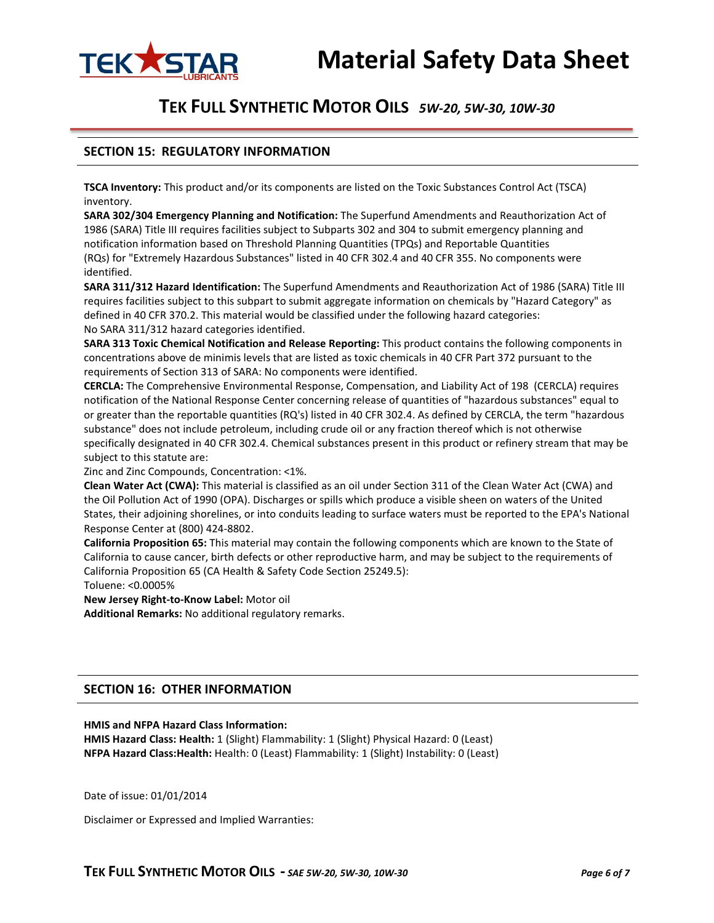



### **TEK FULL SYNTHETIC MOTOR OILS** *5W-20, 5W-30, 10W-30*

#### **SECTION 15: REGULATORY INFORMATION**

**TSCA Inventory:** This product and/or its components are listed on the Toxic Substances Control Act (TSCA) inventory.

**SARA 302/304 Emergency Planning and Notification:** The Superfund Amendments and Reauthorization Act of 1986 (SARA) Title III requires facilities subject to Subparts 302 and 304 to submit emergency planning and notification information based on Threshold Planning Quantities (TPQs) and Reportable Quantities (RQs) for "Extremely Hazardous Substances" listed in 40 CFR 302.4 and 40 CFR 355. No components were identified.

**SARA 311/312 Hazard Identification:** The Superfund Amendments and Reauthorization Act of 1986 (SARA) Title III requires facilities subject to this subpart to submit aggregate information on chemicals by "Hazard Category" as defined in 40 CFR 370.2. This material would be classified under the following hazard categories: No SARA 311/312 hazard categories identified.

**SARA 313 Toxic Chemical Notification and Release Reporting:** This product contains the following components in concentrations above de minimis levels that are listed as toxic chemicals in 40 CFR Part 372 pursuant to the requirements of Section 313 of SARA: No components were identified.

**CERCLA:** The Comprehensive Environmental Response, Compensation, and Liability Act of 198 (CERCLA) requires notification of the National Response Center concerning release of quantities of "hazardous substances" equal to or greater than the reportable quantities (RQ's) listed in 40 CFR 302.4. As defined by CERCLA, the term "hazardous substance" does not include petroleum, including crude oil or any fraction thereof which is not otherwise specifically designated in 40 CFR 302.4. Chemical substances present in this product or refinery stream that may be subject to this statute are:

Zinc and Zinc Compounds, Concentration: <1%.

**Clean Water Act (CWA):** This material is classified as an oil under Section 311 of the Clean Water Act (CWA) and the Oil Pollution Act of 1990 (OPA). Discharges or spills which produce a visible sheen on waters of the United States, their adjoining shorelines, or into conduits leading to surface waters must be reported to the EPA's National Response Center at (800) 424-8802.

**California Proposition 65:** This material may contain the following components which are known to the State of California to cause cancer, birth defects or other reproductive harm, and may be subject to the requirements of California Proposition 65 (CA Health & Safety Code Section 25249.5):

Toluene: <0.0005%

**New Jersey Right-to-Know Label:** Motor oil

**Additional Remarks:** No additional regulatory remarks.

#### **SECTION 16: OTHER INFORMATION**

#### **HMIS and NFPA Hazard Class Information:**

**HMIS Hazard Class: Health:** 1 (Slight) Flammability: 1 (Slight) Physical Hazard: 0 (Least) **NFPA Hazard Class:Health:** Health: 0 (Least) Flammability: 1 (Slight) Instability: 0 (Least)

Date of issue: 01/01/2014

Disclaimer or Expressed and Implied Warranties: